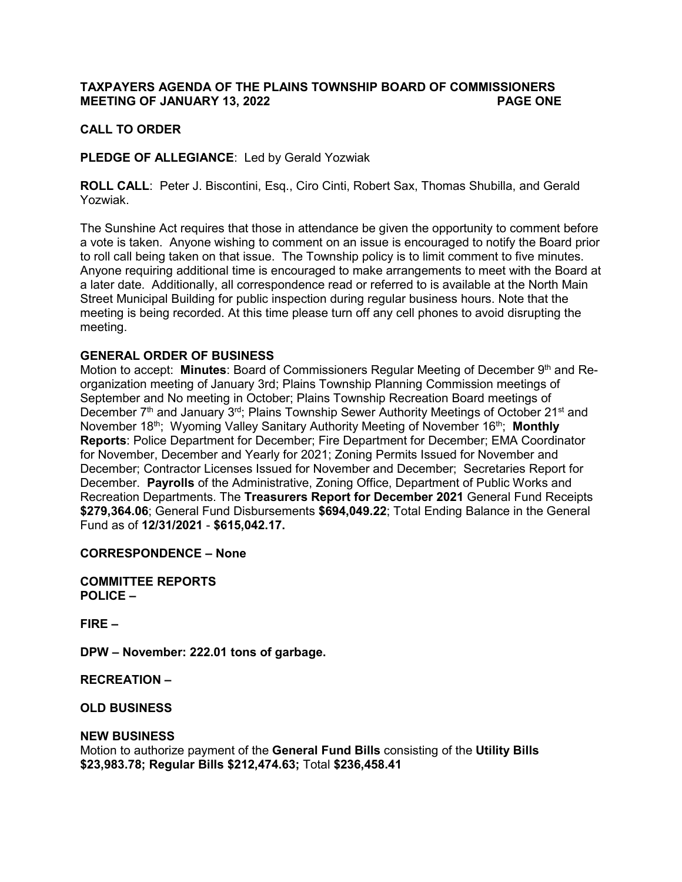# **TAXPAYERS AGENDA OF THE PLAINS TOWNSHIP BOARD OF COMMISSIONERS MEETING OF JANUARY 13, 2022 PAGE ONE**

### **CALL TO ORDER**

**PLEDGE OF ALLEGIANCE**: Led by Gerald Yozwiak

**ROLL CALL**: Peter J. Biscontini, Esq., Ciro Cinti, Robert Sax, Thomas Shubilla, and Gerald Yozwiak.

The Sunshine Act requires that those in attendance be given the opportunity to comment before a vote is taken. Anyone wishing to comment on an issue is encouraged to notify the Board prior to roll call being taken on that issue. The Township policy is to limit comment to five minutes. Anyone requiring additional time is encouraged to make arrangements to meet with the Board at a later date. Additionally, all correspondence read or referred to is available at the North Main Street Municipal Building for public inspection during regular business hours. Note that the meeting is being recorded. At this time please turn off any cell phones to avoid disrupting the meeting.

### **GENERAL ORDER OF BUSINESS**

Motion to accept: **Minutes**: Board of Commissioners Regular Meeting of December 9<sup>th</sup> and Reorganization meeting of January 3rd; Plains Township Planning Commission meetings of September and No meeting in October; Plains Township Recreation Board meetings of December 7<sup>th</sup> and January 3<sup>rd</sup>; Plains Township Sewer Authority Meetings of October 21<sup>st</sup> and November 18<sup>th</sup>; Wyoming Valley Sanitary Authority Meeting of November 16<sup>th</sup>; Monthly **Reports**: Police Department for December; Fire Department for December; EMA Coordinator for November, December and Yearly for 2021; Zoning Permits Issued for November and December; Contractor Licenses Issued for November and December; Secretaries Report for December. **Payrolls** of the Administrative, Zoning Office, Department of Public Works and Recreation Departments. The **Treasurers Report for December 2021** General Fund Receipts **\$279,364.06**; General Fund Disbursements **\$694,049.22**; Total Ending Balance in the General Fund as of **12/31/2021** - **\$615,042.17.**

**CORRESPONDENCE – None**

**COMMITTEE REPORTS POLICE –** 

**FIRE –**

**DPW – November: 222.01 tons of garbage.**

**RECREATION –**

**OLD BUSINESS** 

#### **NEW BUSINESS**

Motion to authorize payment of the **General Fund Bills** consisting of the **Utility Bills \$23,983.78; Regular Bills \$212,474.63;** Total **\$236,458.41**